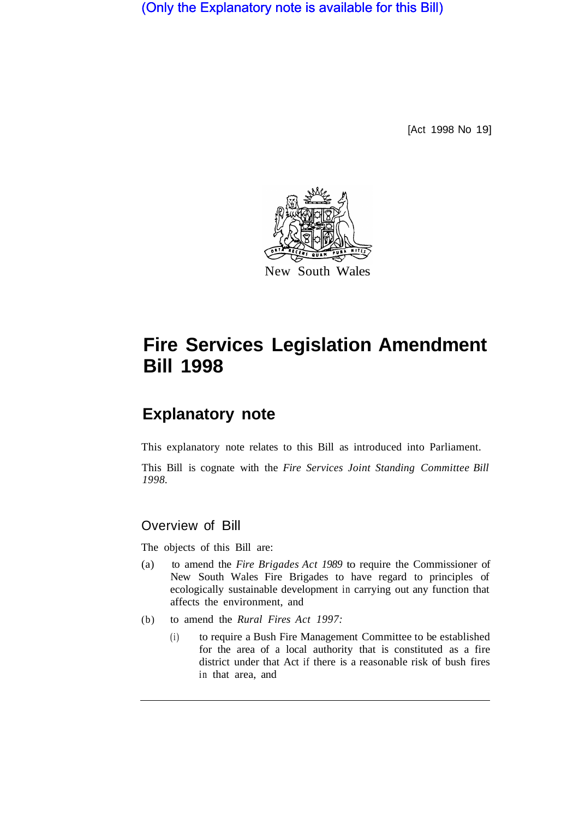(Only the Explanatory note is available for this Bill)

[Act 1998 No 19]



# **Fire Services Legislation Amendment Bill 1998**

# **Explanatory note**

This explanatory note relates to this Bill as introduced into Parliament.

This Bill is cognate with the *Fire Services Joint Standing Committee Bill 1998.* 

## Overview of Bill

The objects of this Bill are:

- (a) to amend the *Fire Brigades Act 1989* to require the Commissioner of New South Wales Fire Brigades to have regard to principles of ecologically sustainable development in carrying out any function that affects the environment, and
- (b) to amend the *Rural Fires Act 1997:* 
	- (i) to require a Bush Fire Management Committee to be established for the area of a local authority that is constituted as a fire district under that Act if there is a reasonable risk of bush fires in that area, and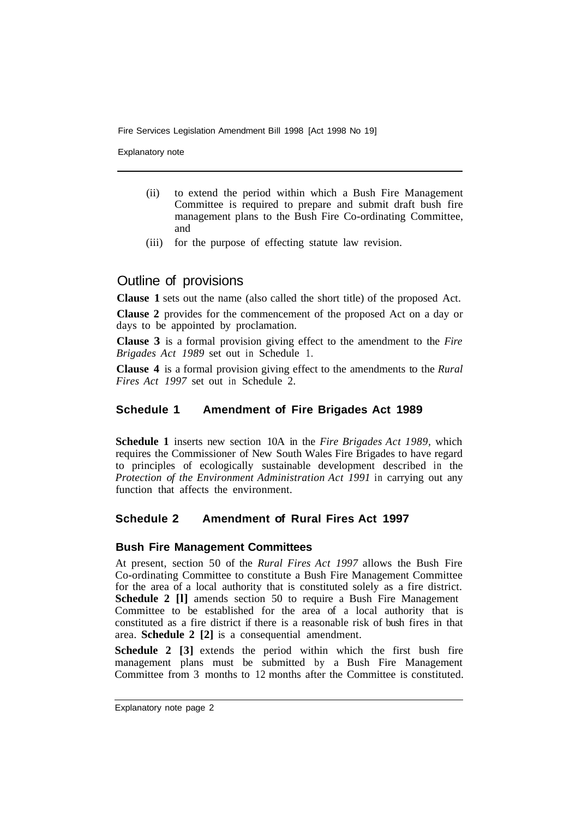Fire Services Legislation Amendment Bill 1998 [Act 1998 No 19]

Explanatory note

- (ii) to extend the period within which a Bush Fire Management Committee is required to prepare and submit draft bush fire management plans to the Bush Fire Co-ordinating Committee, and
- (iii) for the purpose of effecting statute law revision.

### Outline of provisions

**Clause 1** sets out the name (also called the short title) of the proposed Act.

**Clause 2** provides for the commencement of the proposed Act on a day or days to be appointed by proclamation.

**Clause 3** is a formal provision giving effect to the amendment to the *Fire Brigades Act 1989* set out in Schedule 1.

**Clause 4** is a formal provision giving effect to the amendments to the *Rural Fires Act 1997* set out in Schedule 2.

#### **Schedule 1 Amendment of Fire Brigades Act 1989**

**Schedule 1** inserts new section 10A in the *Fire Brigades Act 1989,* which requires the Commissioner of New South Wales Fire Brigades to have regard to principles of ecologically sustainable development described in the *Protection of the Environment Administration Act 1991* in carrying out any function that affects the environment.

#### **Schedule 2 Amendment of Rural Fires Act 1997**

#### **Bush Fire Management Committees**

At present, section 50 of the *Rural Fires Act 1997* allows the Bush Fire Co-ordinating Committee to constitute a Bush Fire Management Committee for the area of a local authority that is constituted solely as a fire district. **Schedule 2 [I]** amends section 50 to require a Bush Fire Management Committee to be established for the area of a local authority that is constituted as a fire district if there is a reasonable risk of bush fires in that area. **Schedule 2 [2]** is a consequential amendment.

**Schedule 2 [3]** extends the period within which the first bush fire management plans must be submitted by a Bush Fire Management Committee from 3 months to 12 months after the Committee is constituted.